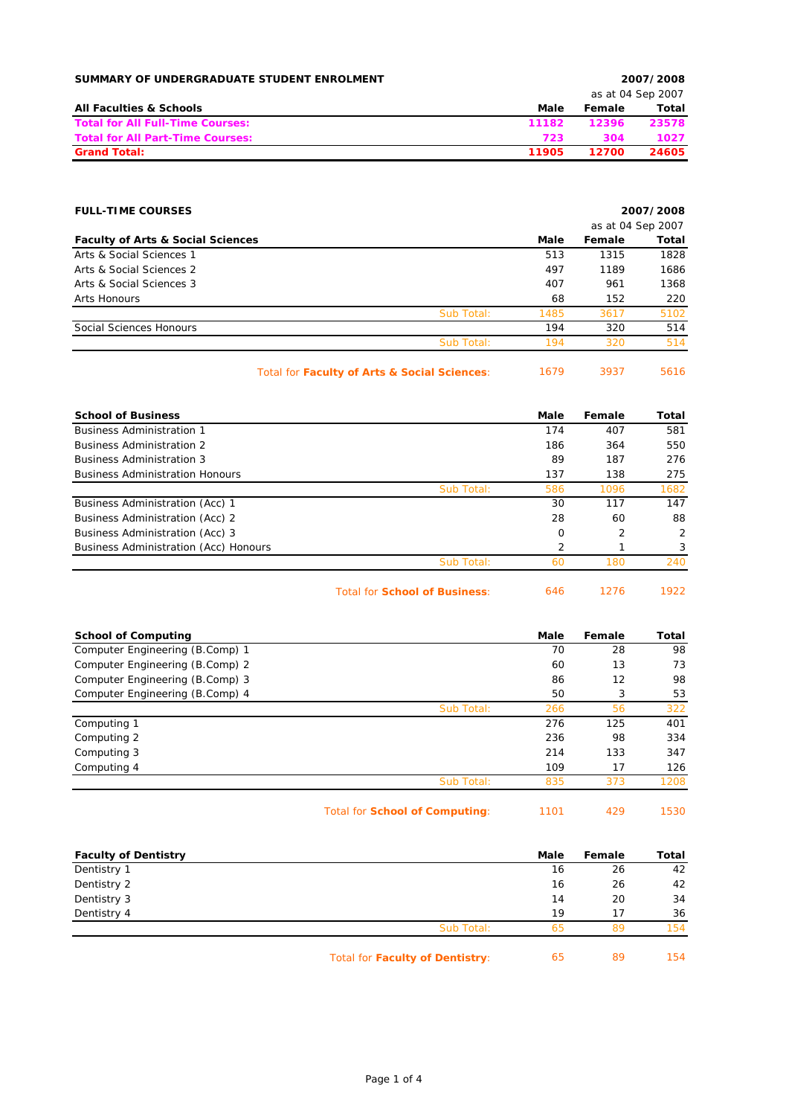| SUMMARY OF UNDERGRADUATE STUDENT ENROLMENT |       |        | 2007/2008         |  |
|--------------------------------------------|-------|--------|-------------------|--|
|                                            |       |        | as at 04 Sep 2007 |  |
| <b>All Faculties &amp; Schools</b>         | Male  | Female | Total             |  |
| <b>Total for All Full-Time Courses:</b>    | 11182 | 12396  | 23578             |  |
| <b>Total for All Part-Time Courses:</b>    | 723   | 304    | 1027              |  |
| <b>Grand Total:</b>                        | 11905 | 12700  | 24605             |  |

| <b>FULL-TIME COURSES</b>                     |                                              | 2007/2008 |                   |       |
|----------------------------------------------|----------------------------------------------|-----------|-------------------|-------|
|                                              |                                              |           | as at 04 Sep 2007 |       |
| <b>Faculty of Arts &amp; Social Sciences</b> |                                              | Male      | Female            | Total |
| Arts & Social Sciences 1                     |                                              | 513       | 1315              | 1828  |
| Arts & Social Sciences 2                     |                                              | 497       | 1189              | 1686  |
| Arts & Social Sciences 3                     |                                              | 407       | 961               | 1368  |
| Arts Honours                                 |                                              | 68        | 152               | 220   |
|                                              | Sub Total:                                   | 1485      | 3617              | 5102  |
| Social Sciences Honours                      |                                              | 194       | 320               | 514   |
|                                              | Sub Total:                                   | 194       | 320               | 514   |
|                                              | Total for Faculty of Arts & Social Sciences: | 1679      | 3937              | 5616  |

| <b>School of Business</b>              | Male | Female         | Total |
|----------------------------------------|------|----------------|-------|
| <b>Business Administration 1</b>       | 174  | 407            | 581   |
| <b>Business Administration 2</b>       | 186  | 364            | 550   |
| <b>Business Administration 3</b>       | 89   | 187            | 276   |
| <b>Business Administration Honours</b> | 137  | 138            | 275   |
| Sub Total:                             | 586  | 1096           | 1682  |
| Business Administration (Acc) 1        | 30   | 117            | 147   |
| Business Administration (Acc) 2        | 28   | 60             | 88    |
| Business Administration (Acc) 3        | 0    | $\overline{2}$ | 2     |
| Business Administration (Acc) Honours  | 2    |                | 3     |
| Sub Total:                             | 60   | 180            | 240   |

Total for **School of Business**: 646 1276 1922

| <b>School of Computing</b>      |            | Male | Female | Total |
|---------------------------------|------------|------|--------|-------|
| Computer Engineering (B.Comp) 1 |            | 70   | 28     | 98    |
| Computer Engineering (B.Comp) 2 |            | 60   | 13     | 73    |
| Computer Engineering (B.Comp) 3 |            | 86   | 12     | 98    |
| Computer Engineering (B.Comp) 4 |            | 50   | 3      | 53    |
|                                 | Sub Total: | 266  | 56     | 322   |
| Computing 1                     |            | 276  | 125    | 401   |
| Computing 2                     |            | 236  | 98     | 334   |
| Computing 3                     |            | 214  | 133    | 347   |
| Computing 4                     |            | 109  | 17     | 126   |
|                                 | Sub Total: | 835  | 373    | 1208  |
|                                 |            |      |        |       |

Total for **School of Computing**: 1101 429 1530

| <b>Faculty of Dentistry</b> |                                        | Male | Female | Total |
|-----------------------------|----------------------------------------|------|--------|-------|
| Dentistry 1                 |                                        | 16   | 26     | 42    |
| Dentistry 2                 |                                        | 16   | 26     | 42    |
| Dentistry 3                 |                                        | 14   | 20     | 34    |
| Dentistry 4                 |                                        | 19   | 17     | 36    |
|                             | Sub Total:                             | 65   | 89     | 154   |
|                             | <b>Total for Faculty of Dentistry:</b> | 65   | 89     | 154   |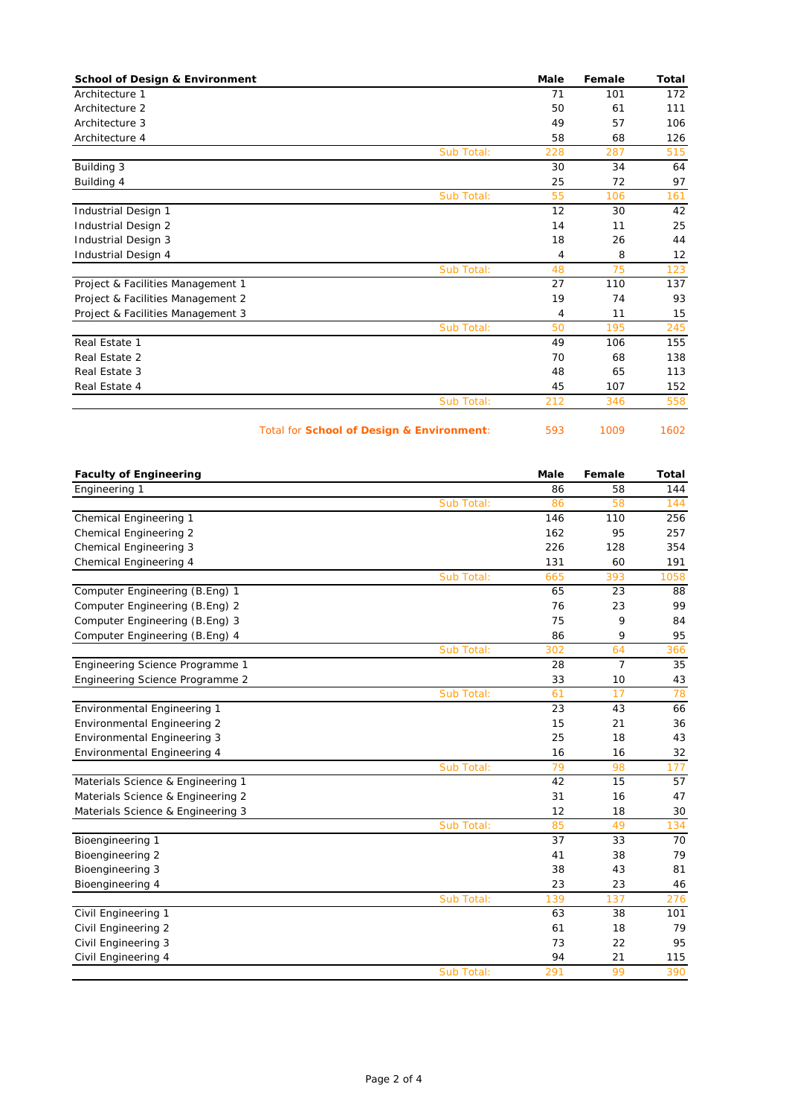| <b>School of Design &amp; Environment</b> |            | Male | Female | Total |
|-------------------------------------------|------------|------|--------|-------|
| Architecture 1                            |            | 71   | 101    | 172   |
| Architecture 2                            |            | 50   | 61     | 111   |
| Architecture 3                            |            | 49   | 57     | 106   |
| Architecture 4                            |            | 58   | 68     | 126   |
|                                           | Sub Total: | 228  | 287    | 515   |
| Building 3                                |            | 30   | 34     | 64    |
| Building 4                                |            | 25   | 72     | 97    |
|                                           | Sub Total: | 55   | 106    | 161   |
| Industrial Design 1                       |            | 12   | 30     | 42    |
| Industrial Design 2                       |            | 14   | 11     | 25    |
| Industrial Design 3                       |            | 18   | 26     | 44    |
| Industrial Design 4                       |            | 4    | 8      | 12    |
|                                           | Sub Total: | 48   | 75     | 123   |
| Project & Facilities Management 1         |            | 27   | 110    | 137   |
| Project & Facilities Management 2         |            | 19   | 74     | 93    |
| Project & Facilities Management 3         |            | 4    | 11     | 15    |
|                                           | Sub Total: | 50   | 195    | 245   |
| Real Estate 1                             |            | 49   | 106    | 155   |
| Real Estate 2                             |            | 70   | 68     | 138   |
| Real Estate 3                             |            | 48   | 65     | 113   |
| Real Estate 4                             |            | 45   | 107    | 152   |
|                                           | Sub Total: | 212  | 346    | 558   |

Total for **School of Design & Environment**: 593 1009 1602

| <b>Faculty of Engineering</b>     |            | <b>Male</b> | Female         | <b>Total</b> |
|-----------------------------------|------------|-------------|----------------|--------------|
| Engineering 1                     |            | 86          | 58             | 144          |
|                                   | Sub Total: | 86          | 58             | 144          |
| Chemical Engineering 1            |            | 146         | 110            | 256          |
| Chemical Engineering 2            |            | 162         | 95             | 257          |
| Chemical Engineering 3            |            | 226         | 128            | 354          |
| Chemical Engineering 4            |            | 131         | 60             | 191          |
|                                   | Sub Total: | 665         | 393            | 1058         |
| Computer Engineering (B.Eng) 1    |            | 65          | 23             | 88           |
| Computer Engineering (B.Eng) 2    |            | 76          | 23             | 99           |
| Computer Engineering (B.Eng) 3    |            | 75          | 9              | 84           |
| Computer Engineering (B.Eng) 4    |            | 86          | 9              | 95           |
|                                   | Sub Total: | 302         | 64             | 366          |
| Engineering Science Programme 1   |            | 28          | $\overline{7}$ | 35           |
| Engineering Science Programme 2   |            | 33          | 10             | 43           |
|                                   | Sub Total: | 61          | 17             | 78           |
| Environmental Engineering 1       |            | 23          | 43             | 66           |
| Environmental Engineering 2       |            | 15          | 21             | 36           |
| Environmental Engineering 3       |            | 25          | 18             | 43           |
| Environmental Engineering 4       |            | 16          | 16             | 32           |
|                                   | Sub Total: | 79          | 98             | 177          |
| Materials Science & Engineering 1 |            | 42          | 15             | 57           |
| Materials Science & Engineering 2 |            | 31          | 16             | 47           |
| Materials Science & Engineering 3 |            | 12          | 18             | 30           |
|                                   | Sub Total: | 85          | 49             | 134          |
| Bioengineering 1                  |            | 37          | 33             | 70           |
| Bioengineering 2                  |            | 41          | 38             | 79           |
| Bioengineering 3                  |            | 38          | 43             | 81           |
| Bioengineering 4                  |            | 23          | 23             | 46           |
|                                   | Sub Total: | 139         | 137            | 276          |
| Civil Engineering 1               |            | 63          | 38             | 101          |
| Civil Engineering 2               |            | 61          | 18             | 79           |
| Civil Engineering 3               |            | 73          | 22             | 95           |
| Civil Engineering 4               |            | 94          | 21             | 115          |
|                                   | Sub Total: | 291         | 99             | 390          |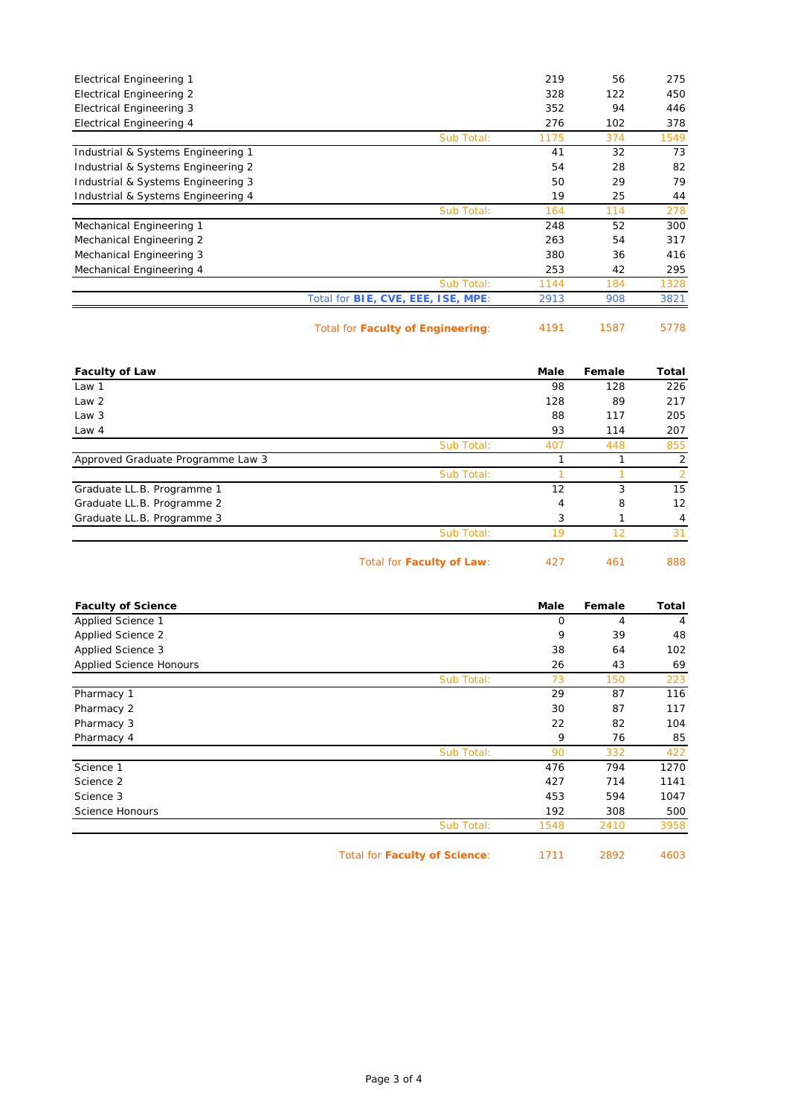| <b>Electrical Engineering 1</b>    |                                           | 219  | 56  | 275  |
|------------------------------------|-------------------------------------------|------|-----|------|
| <b>Electrical Engineering 2</b>    |                                           | 328  | 122 | 450  |
| <b>Electrical Engineering 3</b>    |                                           | 352  | 94  | 446  |
| Electrical Engineering 4           |                                           | 276  | 102 | 378  |
|                                    | Sub Total:                                | 1175 | 374 | 1549 |
| Industrial & Systems Engineering 1 |                                           | 41   | 32  | 73   |
| Industrial & Systems Engineering 2 |                                           | 54   | 28  | 82   |
| Industrial & Systems Engineering 3 |                                           | 50   | 29  | 79   |
| Industrial & Systems Engineering 4 |                                           | 19   | 25  | 44   |
|                                    | Sub Total:                                | 164  | 114 | 278  |
| Mechanical Engineering 1           |                                           | 248  | 52  | 300  |
| Mechanical Engineering 2           |                                           | 263  | 54  | 317  |
| Mechanical Engineering 3           |                                           | 380  | 36  | 416  |
| Mechanical Engineering 4           |                                           | 253  | 42  | 295  |
|                                    | Sub Total:                                | 1144 | 184 | 1328 |
|                                    | Total for <b>BIE, CVE, EEE, ISE, MPE:</b> | 2913 | 908 | 3821 |
|                                    |                                           |      |     |      |

Total for **Faculty of Engineering**: 4191 1587 5778

| <b>Faculty of Law</b>             |                           | Male | Female | <b>Total</b>  |
|-----------------------------------|---------------------------|------|--------|---------------|
| Law 1                             |                           | 98   | 128    | 226           |
| Law 2                             |                           | 128  | 89     | 217           |
| Law 3                             |                           | 88   | 117    | 205           |
| Law $4$                           |                           | 93   | 114    | 207           |
|                                   | Sub Total:                | 407  | 448    | 855           |
| Approved Graduate Programme Law 3 |                           | ⊣    |        | 2             |
|                                   | Sub Total:                |      |        | $\mathcal{P}$ |
| Graduate LL.B. Programme 1        |                           | 12   | 3      | 15            |
| Graduate LL.B. Programme 2        |                           | 4    | 8      | 12            |
| Graduate LL.B. Programme 3        |                           | 3    |        | 4             |
|                                   | Sub Total:                | 19   | 12     | 31            |
|                                   | Total for Faculty of Law: | 427  | 461    | 888           |

| <b>Faculty of Science</b> |            | Male | Female | Total |
|---------------------------|------------|------|--------|-------|
| Applied Science 1         |            | 0    | 4      | 4     |
| <b>Applied Science 2</b>  |            | 9    | 39     | 48    |
| Applied Science 3         |            | 38   | 64     | 102   |
| Applied Science Honours   |            | 26   | 43     | 69    |
|                           | Sub Total: | 73   | 150    | 223   |
| Pharmacy 1                |            | 29   | 87     | 116   |
| Pharmacy 2                |            | 30   | 87     | 117   |
| Pharmacy 3                |            | 22   | 82     | 104   |
| Pharmacy 4                |            | 9    | 76     | 85    |
|                           | Sub Total: | 90   | 332    | 422   |
| Science 1                 |            | 476  | 794    | 1270  |
| Science 2                 |            | 427  | 714    | 1141  |
| Science 3                 |            | 453  | 594    | 1047  |
| Science Honours           |            | 192  | 308    | 500   |
|                           | Sub Total: | 1548 | 2410   | 3958  |

Total for **Faculty of Science**: 1711 2892 4603